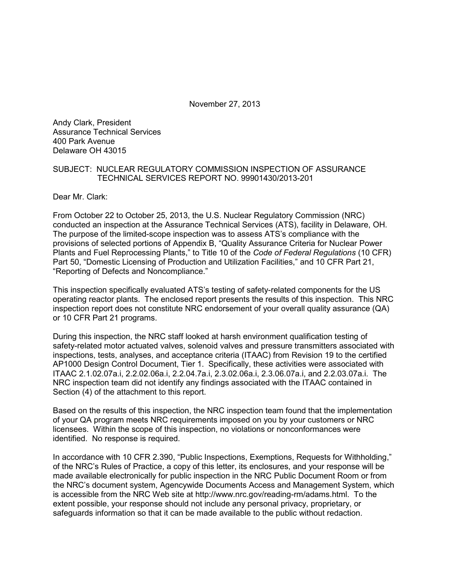November 27, 2013

Andy Clark, President Assurance Technical Services 400 Park Avenue Delaware OH 43015

#### SUBJECT: NUCLEAR REGULATORY COMMISSION INSPECTION OF ASSURANCE TECHNICAL SERVICES REPORT NO. 99901430/2013-201

Dear Mr. Clark:

From October 22 to October 25, 2013, the U.S. Nuclear Regulatory Commission (NRC) conducted an inspection at the Assurance Technical Services (ATS), facility in Delaware, OH. The purpose of the limited-scope inspection was to assess ATS's compliance with the provisions of selected portions of Appendix B, "Quality Assurance Criteria for Nuclear Power Plants and Fuel Reprocessing Plants," to Title 10 of the *Code of Federal Regulations* (10 CFR) Part 50, "Domestic Licensing of Production and Utilization Facilities," and 10 CFR Part 21, "Reporting of Defects and Noncompliance."

This inspection specifically evaluated ATS's testing of safety-related components for the US operating reactor plants. The enclosed report presents the results of this inspection. This NRC inspection report does not constitute NRC endorsement of your overall quality assurance (QA) or 10 CFR Part 21 programs.

During this inspection, the NRC staff looked at harsh environment qualification testing of safety-related motor actuated valves, solenoid valves and pressure transmitters associated with inspections, tests, analyses, and acceptance criteria (ITAAC) from Revision 19 to the certified AP1000 Design Control Document, Tier 1. Specifically, these activities were associated with ITAAC 2.1.02.07a.i, 2.2.02.06a.i, 2.2.04.7a.i, 2.3.02.06a.i, 2.3.06.07a.i, and 2.2.03.07a.i. The NRC inspection team did not identify any findings associated with the ITAAC contained in Section (4) of the attachment to this report.

Based on the results of this inspection, the NRC inspection team found that the implementation of your QA program meets NRC requirements imposed on you by your customers or NRC licensees. Within the scope of this inspection, no violations or nonconformances were identified. No response is required.

In accordance with 10 CFR 2.390, "Public Inspections, Exemptions, Requests for Withholding," of the NRC's Rules of Practice, a copy of this letter, its enclosures, and your response will be made available electronically for public inspection in the NRC Public Document Room or from the NRC's document system, Agencywide Documents Access and Management System, which is accessible from the NRC Web site at http://www.nrc.gov/reading-rm/adams.html. To the extent possible, your response should not include any personal privacy, proprietary, or safeguards information so that it can be made available to the public without redaction.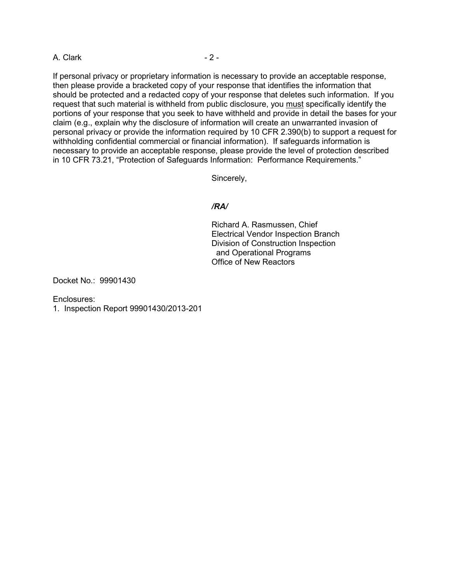A. Clark - 2 -

If personal privacy or proprietary information is necessary to provide an acceptable response, then please provide a bracketed copy of your response that identifies the information that should be protected and a redacted copy of your response that deletes such information. If you request that such material is withheld from public disclosure, you must specifically identify the portions of your response that you seek to have withheld and provide in detail the bases for your claim (e.g., explain why the disclosure of information will create an unwarranted invasion of personal privacy or provide the information required by 10 CFR 2.390(b) to support a request for withholding confidential commercial or financial information). If safeguards information is necessary to provide an acceptable response, please provide the level of protection described in 10 CFR 73.21, "Protection of Safeguards Information: Performance Requirements."

Sincerely,

# */RA/*

Richard A. Rasmussen, Chief Electrical Vendor Inspection Branch Division of Construction Inspection and Operational Programs Office of New Reactors

Docket No.: 99901430

Enclosures:

1. Inspection Report 99901430/2013-201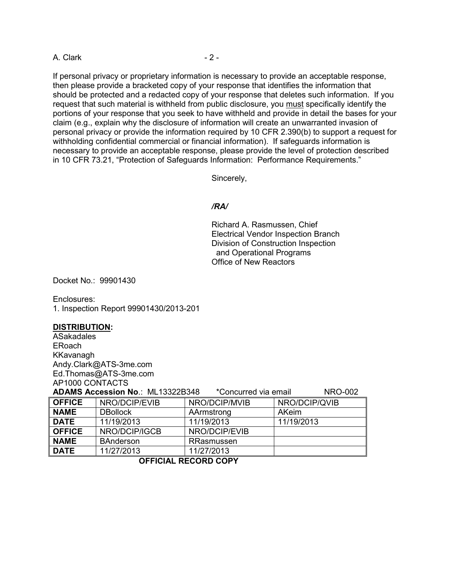A. Clark - 2 -

If personal privacy or proprietary information is necessary to provide an acceptable response, then please provide a bracketed copy of your response that identifies the information that should be protected and a redacted copy of your response that deletes such information. If you request that such material is withheld from public disclosure, you must specifically identify the portions of your response that you seek to have withheld and provide in detail the bases for your claim (e.g., explain why the disclosure of information will create an unwarranted invasion of personal privacy or provide the information required by 10 CFR 2.390(b) to support a request for withholding confidential commercial or financial information). If safeguards information is necessary to provide an acceptable response, please provide the level of protection described in 10 CFR 73.21, "Protection of Safeguards Information: Performance Requirements."

Sincerely,

# */RA/*

Richard A. Rasmussen, Chief Electrical Vendor Inspection Branch Division of Construction Inspection and Operational Programs Office of New Reactors

Docket No.: 99901430

Enclosures: 1. Inspection Report 99901430/2013-201

# **DISTRIBUTION :**

ASakadales ERoach KKavanagh Andy.Clark@ATS-3me.com Ed.Thomas@ATS-3me.com AP1000 CONTACTS

| ADAMS Accession No.: ML13322B348<br>*Concurred via email<br><b>NRO-002</b> |                  |               |               |
|----------------------------------------------------------------------------|------------------|---------------|---------------|
| <b>OFFICE</b>                                                              | NRO/DCIP/EVIB    | NRO/DCIP/MVIB | NRO/DCIP/QVIB |
| <b>NAME</b>                                                                | <b>DBollock</b>  | AArmstrong    | AKeim         |
| <b>DATE</b>                                                                | 11/19/2013       | 11/19/2013    | 11/19/2013    |
| <b>OFFICE</b>                                                              | NRO/DCIP/IGCB    | NRO/DCIP/EVIB |               |
| <b>NAME</b>                                                                | <b>BAnderson</b> | RRasmussen    |               |
| <b>DATE</b>                                                                | 11/27/2013       | 11/27/2013    |               |

**OFFICIAL RECORD COPY**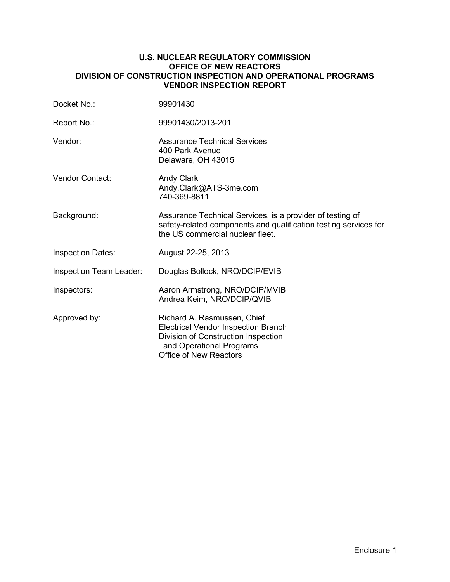## **U.S. NUCLEAR REGULATORY COMMISSION OFFICE OF NEW REACTORS DIVISION OF CONSTRUCTION INSPECTION AND OPERATIONAL PROGRAMS VENDOR INSPECTION REPORT**

| Docket No.:              | 99901430                                                                                                                                                                      |
|--------------------------|-------------------------------------------------------------------------------------------------------------------------------------------------------------------------------|
| Report No.:              | 99901430/2013-201                                                                                                                                                             |
| Vendor:                  | <b>Assurance Technical Services</b><br>400 Park Avenue<br>Delaware, OH 43015                                                                                                  |
| <b>Vendor Contact:</b>   | <b>Andy Clark</b><br>Andy.Clark@ATS-3me.com<br>740-369-8811                                                                                                                   |
| Background:              | Assurance Technical Services, is a provider of testing of<br>safety-related components and qualification testing services for<br>the US commercial nuclear fleet.             |
| <b>Inspection Dates:</b> | August 22-25, 2013                                                                                                                                                            |
| Inspection Team Leader:  | Douglas Bollock, NRO/DCIP/EVIB                                                                                                                                                |
| Inspectors:              | Aaron Armstrong, NRO/DCIP/MVIB<br>Andrea Keim, NRO/DCIP/QVIB                                                                                                                  |
| Approved by:             | Richard A. Rasmussen, Chief<br><b>Electrical Vendor Inspection Branch</b><br>Division of Construction Inspection<br>and Operational Programs<br><b>Office of New Reactors</b> |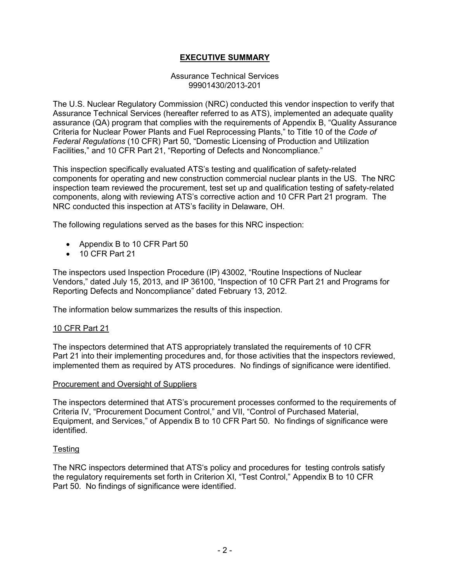# **EXECUTIVE SUMMARY**

## Assurance Technical Services 99901430/2013-201

The U.S. Nuclear Regulatory Commission (NRC) conducted this vendor inspection to verify that Assurance Technical Services (hereafter referred to as ATS), implemented an adequate quality assurance (QA) program that complies with the requirements of Appendix B, "Quality Assurance Criteria for Nuclear Power Plants and Fuel Reprocessing Plants," to Title 10 of the *Code of Federal Regulations* (10 CFR) Part 50, "Domestic Licensing of Production and Utilization Facilities," and 10 CFR Part 21, "Reporting of Defects and Noncompliance."

This inspection specifically evaluated ATS's testing and qualification of safety-related components for operating and new construction commercial nuclear plants in the US. The NRC inspection team reviewed the procurement, test set up and qualification testing of safety-related components, along with reviewing ATS's corrective action and 10 CFR Part 21 program. The NRC conducted this inspection at ATS's facility in Delaware, OH.

The following regulations served as the bases for this NRC inspection:

- Appendix B to 10 CFR Part 50
- 10 CFR Part 21

The inspectors used Inspection Procedure (IP) 43002, "Routine Inspections of Nuclear Vendors," dated July 15, 2013, and IP 36100, "Inspection of 10 CFR Part 21 and Programs for Reporting Defects and Noncompliance" dated February 13, 2012.

The information below summarizes the results of this inspection.

# 10 CFR Part 21

The inspectors determined that ATS appropriately translated the requirements of 10 CFR Part 21 into their implementing procedures and, for those activities that the inspectors reviewed, implemented them as required by ATS procedures. No findings of significance were identified.

#### Procurement and Oversight of Suppliers

The inspectors determined that ATS's procurement processes conformed to the requirements of Criteria IV, "Procurement Document Control," and VII, "Control of Purchased Material, Equipment, and Services," of Appendix B to 10 CFR Part 50. No findings of significance were identified.

# **Testing**

The NRC inspectors determined that ATS's policy and procedures for testing controls satisfy the regulatory requirements set forth in Criterion XI, "Test Control," Appendix B to 10 CFR Part 50. No findings of significance were identified.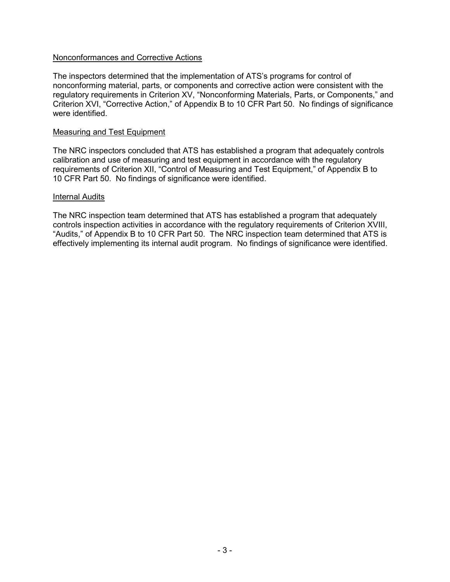## Nonconformances and Corrective Actions

The inspectors determined that the implementation of ATS's programs for control of nonconforming material, parts, or components and corrective action were consistent with the regulatory requirements in Criterion XV, "Nonconforming Materials, Parts, or Components," and Criterion XVI, "Corrective Action," of Appendix B to 10 CFR Part 50. No findings of significance were identified.

#### Measuring and Test Equipment

The NRC inspectors concluded that ATS has established a program that adequately controls calibration and use of measuring and test equipment in accordance with the regulatory requirements of Criterion XII, "Control of Measuring and Test Equipment," of Appendix B to 10 CFR Part 50. No findings of significance were identified.

#### Internal Audits

The NRC inspection team determined that ATS has established a program that adequately controls inspection activities in accordance with the regulatory requirements of Criterion XVIII, "Audits," of Appendix B to 10 CFR Part 50. The NRC inspection team determined that ATS is effectively implementing its internal audit program. No findings of significance were identified.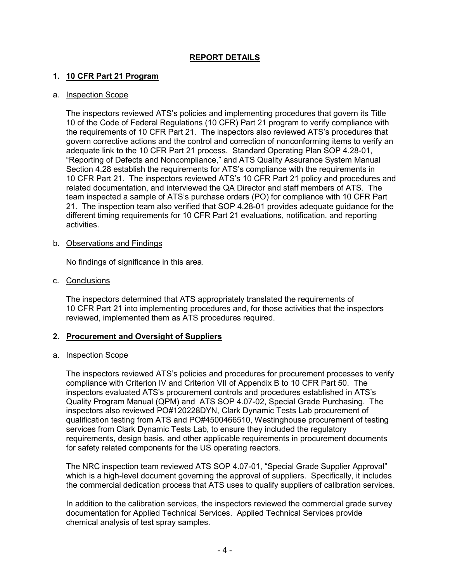# **REPORT DETAILS**

# **1. 10 CFR Part 21 Program**

## a. Inspection Scope

The inspectors reviewed ATS's policies and implementing procedures that govern its Title 10 of the Code of Federal Regulations (10 CFR) Part 21 program to verify compliance with the requirements of 10 CFR Part 21. The inspectors also reviewed ATS's procedures that govern corrective actions and the control and correction of nonconforming items to verify an adequate link to the 10 CFR Part 21 process. Standard Operating Plan SOP 4.28-01, "Reporting of Defects and Noncompliance," and ATS Quality Assurance System Manual Section 4.28 establish the requirements for ATS's compliance with the requirements in 10 CFR Part 21. The inspectors reviewed ATS's 10 CFR Part 21 policy and procedures and related documentation, and interviewed the QA Director and staff members of ATS. The team inspected a sample of ATS's purchase orders (PO) for compliance with 10 CFR Part 21. The inspection team also verified that SOP 4.28-01 provides adequate guidance for the different timing requirements for 10 CFR Part 21 evaluations, notification, and reporting activities.

#### b. Observations and Findings

No findings of significance in this area.

c. Conclusions

The inspectors determined that ATS appropriately translated the requirements of 10 CFR Part 21 into implementing procedures and, for those activities that the inspectors reviewed, implemented them as ATS procedures required.

# **2. Procurement and Oversight of Suppliers**

# a. Inspection Scope

The inspectors reviewed ATS's policies and procedures for procurement processes to verify compliance with Criterion IV and Criterion VII of Appendix B to 10 CFR Part 50. The inspectors evaluated ATS's procurement controls and procedures established in ATS's Quality Program Manual (QPM) and ATS SOP 4.07-02, Special Grade Purchasing. The inspectors also reviewed PO#120228DYN, Clark Dynamic Tests Lab procurement of qualification testing from ATS and PO#4500466510, Westinghouse procurement of testing services from Clark Dynamic Tests Lab, to ensure they included the regulatory requirements, design basis, and other applicable requirements in procurement documents for safety related components for the US operating reactors.

The NRC inspection team reviewed ATS SOP 4.07-01, "Special Grade Supplier Approval" which is a high-level document governing the approval of suppliers. Specifically, it includes the commercial dedication process that ATS uses to qualify suppliers of calibration services.

In addition to the calibration services, the inspectors reviewed the commercial grade survey documentation for Applied Technical Services. Applied Technical Services provide chemical analysis of test spray samples.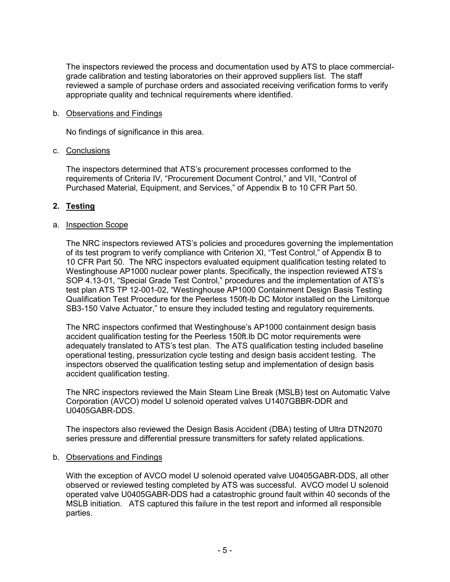The inspectors reviewed the process and documentation used by ATS to place commercialgrade calibration and testing laboratories on their approved suppliers list. The staff reviewed a sample of purchase orders and associated receiving verification forms to verify appropriate quality and technical requirements where identified.

## b. Observations and Findings

No findings of significance in this area.

## c. Conclusions

The inspectors determined that ATS's procurement processes conformed to the requirements of Criteria IV, "Procurement Document Control," and VII, "Control of Purchased Material, Equipment, and Services," of Appendix B to 10 CFR Part 50.

# **2. Testing**

# a. <u>Inspection Scope</u>

The NRC inspectors reviewed ATS's policies and procedures governing the implementation of its test program to verify compliance with Criterion XI, "Test Control," of Appendix B to 10 CFR Part 50. The NRC inspectors evaluated equipment qualification testing related to Westinghouse AP1000 nuclear power plants. Specifically, the inspection reviewed ATS's SOP 4.13-01, "Special Grade Test Control," procedures and the implementation of ATS's test plan ATS TP 12-001-02, "Westinghouse AP1000 Containment Design Basis Testing Qualification Test Procedure for the Peerless 150ft-lb DC Motor installed on the Limitorque SB3-150 Valve Actuator," to ensure they included testing and regulatory requirements.

The NRC inspectors confirmed that Westinghouse's AP1000 containment design basis accident qualification testing for the Peerless 150ft.lb DC motor requirements were adequately translated to ATS's test plan. The ATS qualification testing included baseline operational testing, pressurization cycle testing and design basis accident testing. The inspectors observed the qualification testing setup and implementation of design basis accident qualification testing.

The NRC inspectors reviewed the Main Steam Line Break (MSLB) test on Automatic Valve Corporation (AVCO) model U solenoid operated valves U1407GBBR-DDR and U0405GABR-DDS.

The inspectors also reviewed the Design Basis Accident (DBA) testing of Ultra DTN2070 series pressure and differential pressure transmitters for safety related applications.

#### b. Observations and Findings

With the exception of AVCO model U solenoid operated valve U0405GABR-DDS, all other observed or reviewed testing completed by ATS was successful. AVCO model U solenoid operated valve U0405GABR-DDS had a catastrophic ground fault within 40 seconds of the MSLB initiation. ATS captured this failure in the test report and informed all responsible parties.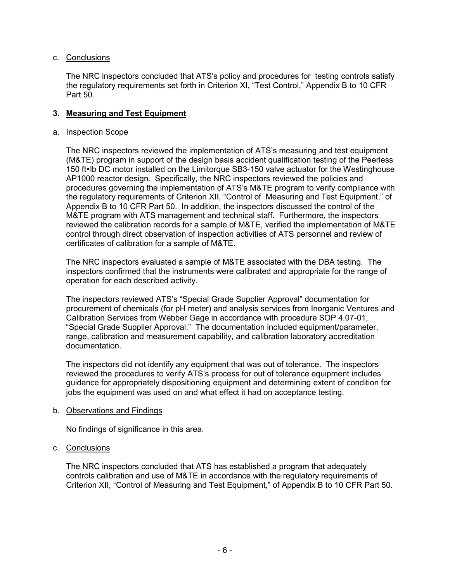# c. Conclusions

The NRC inspectors concluded that ATS's policy and procedures for testing controls satisfy the regulatory requirements set forth in Criterion XI, "Test Control," Appendix B to 10 CFR Part 50.

## **3. Measuring and Test Equipment**

#### a. Inspection Scope

The NRC inspectors reviewed the implementation of ATS's measuring and test equipment (M&TE) program in support of the design basis accident qualification testing of the Peerless 150 ft•lb DC motor installed on the Limitorque SB3-150 valve actuator for the Westinghouse AP1000 reactor design. Specifically, the NRC inspectors reviewed the policies and procedures governing the implementation of ATS's M&TE program to verify compliance with the regulatory requirements of Criterion XII, "Control of Measuring and Test Equipment," of Appendix B to 10 CFR Part 50. In addition, the inspectors discussed the control of the M&TE program with ATS management and technical staff. Furthermore, the inspectors reviewed the calibration records for a sample of M&TE, verified the implementation of M&TE control through direct observation of inspection activities of ATS personnel and review of certificates of calibration for a sample of M&TE.

The NRC inspectors evaluated a sample of M&TE associated with the DBA testing. The inspectors confirmed that the instruments were calibrated and appropriate for the range of operation for each described activity.

The inspectors reviewed ATS's "Special Grade Supplier Approval" documentation for procurement of chemicals (for pH meter) and analysis services from Inorganic Ventures and Calibration Services from Webber Gage in accordance with procedure SOP 4.07-01, "Special Grade Supplier Approval." The documentation included equipment/parameter, range, calibration and measurement capability, and calibration laboratory accreditation documentation.

The inspectors did not identify any equipment that was out of tolerance. The inspectors reviewed the procedures to verify ATS's process for out of tolerance equipment includes guidance for appropriately dispositioning equipment and determining extent of condition for jobs the equipment was used on and what effect it had on acceptance testing.

#### b. Observations and Findings

No findings of significance in this area.

#### c. Conclusions

The NRC inspectors concluded that ATS has established a program that adequately controls calibration and use of M&TE in accordance with the regulatory requirements of Criterion XII, "Control of Measuring and Test Equipment," of Appendix B to 10 CFR Part 50.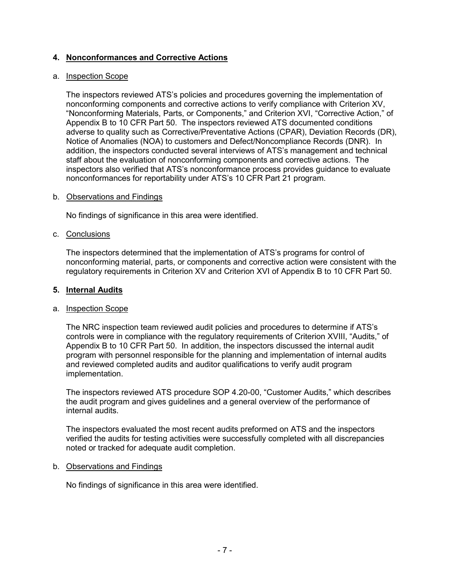# **4. Nonconformances and Corrective Actions**

# a. <u>Inspection Scope</u>

The inspectors reviewed ATS's policies and procedures governing the implementation of nonconforming components and corrective actions to verify compliance with Criterion XV, "Nonconforming Materials, Parts, or Components," and Criterion XVI, "Corrective Action," of Appendix B to 10 CFR Part 50. The inspectors reviewed ATS documented conditions adverse to quality such as Corrective/Preventative Actions (CPAR), Deviation Records (DR), Notice of Anomalies (NOA) to customers and Defect/Noncompliance Records (DNR). In addition, the inspectors conducted several interviews of ATS's management and technical staff about the evaluation of nonconforming components and corrective actions. The inspectors also verified that ATS's nonconformance process provides guidance to evaluate nonconformances for reportability under ATS's 10 CFR Part 21 program.

## b. Observations and Findings

No findings of significance in this area were identified.

## c. Conclusions

The inspectors determined that the implementation of ATS's programs for control of nonconforming material, parts, or components and corrective action were consistent with the regulatory requirements in Criterion XV and Criterion XVI of Appendix B to 10 CFR Part 50.

## **5. Internal Audits**

#### a. Inspection Scope

The NRC inspection team reviewed audit policies and procedures to determine if ATS's controls were in compliance with the regulatory requirements of Criterion XVIII, "Audits," of Appendix B to 10 CFR Part 50. In addition, the inspectors discussed the internal audit program with personnel responsible for the planning and implementation of internal audits and reviewed completed audits and auditor qualifications to verify audit program implementation.

The inspectors reviewed ATS procedure SOP 4.20-00, "Customer Audits," which describes the audit program and gives guidelines and a general overview of the performance of internal audits.

The inspectors evaluated the most recent audits preformed on ATS and the inspectors verified the audits for testing activities were successfully completed with all discrepancies noted or tracked for adequate audit completion.

#### b. Observations and Findings

No findings of significance in this area were identified.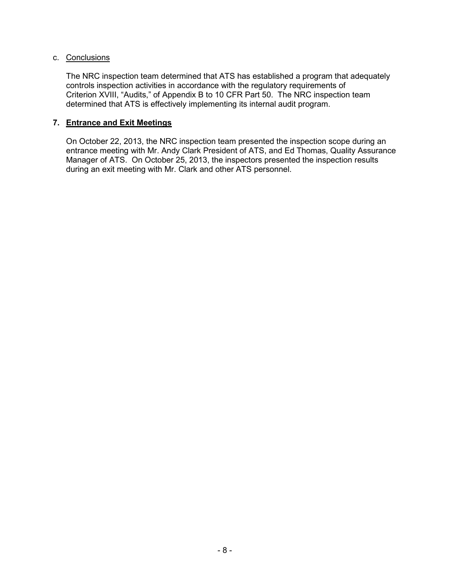## c. Conclusions

The NRC inspection team determined that ATS has established a program that adequately controls inspection activities in accordance with the regulatory requirements of Criterion XVIII, "Audits," of Appendix B to 10 CFR Part 50. The NRC inspection team determined that ATS is effectively implementing its internal audit program.

# **7. Entrance and Exit Meetings**

On October 22, 2013, the NRC inspection team presented the inspection scope during an entrance meeting with Mr. Andy Clark President of ATS, and Ed Thomas, Quality Assurance Manager of ATS. On October 25, 2013, the inspectors presented the inspection results during an exit meeting with Mr. Clark and other ATS personnel.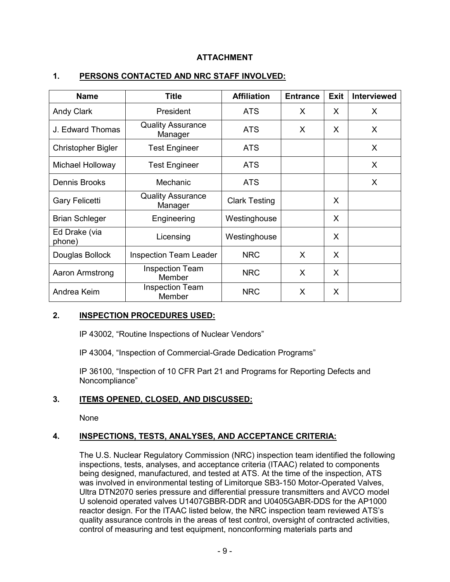# **ATTACHMENT**

| <b>Name</b>               | <b>Title</b>                        | <b>Affiliation</b>   | <b>Entrance</b> | <b>Exit</b> | <b>Interviewed</b> |
|---------------------------|-------------------------------------|----------------------|-----------------|-------------|--------------------|
| <b>Andy Clark</b>         | President                           | <b>ATS</b>           | X               | X           | X                  |
| J. Edward Thomas          | <b>Quality Assurance</b><br>Manager | <b>ATS</b>           | X               | X           | X                  |
| <b>Christopher Bigler</b> | <b>Test Engineer</b>                | <b>ATS</b>           |                 |             | X                  |
| Michael Holloway          | <b>Test Engineer</b>                | <b>ATS</b>           |                 |             | X                  |
| Dennis Brooks             | Mechanic                            | <b>ATS</b>           |                 |             | X                  |
| <b>Gary Felicetti</b>     | <b>Quality Assurance</b><br>Manager | <b>Clark Testing</b> |                 | X           |                    |
| <b>Brian Schleger</b>     | Engineering                         | Westinghouse         |                 | X           |                    |
| Ed Drake (via<br>phone)   | Licensing                           | Westinghouse         |                 | X           |                    |
| Douglas Bollock           | <b>Inspection Team Leader</b>       | <b>NRC</b>           | X               | X           |                    |
| Aaron Armstrong           | <b>Inspection Team</b><br>Member    | <b>NRC</b>           | X               | X           |                    |
| Andrea Keim               | <b>Inspection Team</b><br>Member    | <b>NRC</b>           | X               | X           |                    |

# **1. PERSONS CONTACTED AND NRC STAFF INVOLVED:**

# **2. INSPECTION PROCEDURES USED:**

IP 43002, "Routine Inspections of Nuclear Vendors"

IP 43004, "Inspection of Commercial-Grade Dedication Programs"

IP 36100, "Inspection of 10 CFR Part 21 and Programs for Reporting Defects and Noncompliance"

# **3. ITEMS OPENED, CLOSED, AND DISCUSSED:**

None

# **4. INSPECTIONS, TESTS, ANALYSES, AND ACCEPTANCE CRITERIA:**

The U.S. Nuclear Regulatory Commission (NRC) inspection team identified the following inspections, tests, analyses, and acceptance criteria (ITAAC) related to components being designed, manufactured, and tested at ATS. At the time of the inspection, ATS was involved in environmental testing of Limitorque SB3-150 Motor-Operated Valves, Ultra DTN2070 series pressure and differential pressure transmitters and AVCO model U solenoid operated valves U1407GBBR-DDR and U0405GABR-DDS for the AP1000 reactor design. For the ITAAC listed below, the NRC inspection team reviewed ATS's quality assurance controls in the areas of test control, oversight of contracted activities, control of measuring and test equipment, nonconforming materials parts and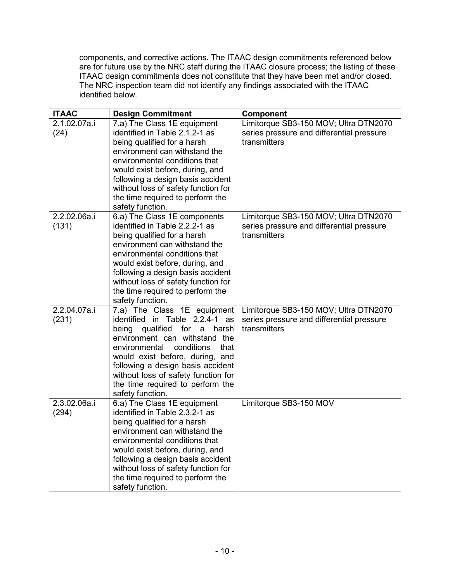components, and corrective actions. The ITAAC design commitments referenced below are for future use by the NRC staff during the ITAAC closure process; the listing of these ITAAC design commitments does not constitute that they have been met and/or closed. The NRC inspection team did not identify any findings associated with the ITAAC identified below.

| <b>ITAAC</b>          | <b>Design Commitment</b>                                                                                                                                                                                                                                                                                                                                        | Component                                                                                          |
|-----------------------|-----------------------------------------------------------------------------------------------------------------------------------------------------------------------------------------------------------------------------------------------------------------------------------------------------------------------------------------------------------------|----------------------------------------------------------------------------------------------------|
| 2.1.02.07a.i<br>(24)  | 7.a) The Class 1E equipment<br>identified in Table 2.1.2-1 as<br>being qualified for a harsh<br>environment can withstand the                                                                                                                                                                                                                                   | Limitorque SB3-150 MOV; Ultra DTN2070<br>series pressure and differential pressure<br>transmitters |
|                       | environmental conditions that<br>would exist before, during, and<br>following a design basis accident<br>without loss of safety function for<br>the time required to perform the<br>safety function.                                                                                                                                                            |                                                                                                    |
| 2.2.02.06a.i<br>(131) | 6.a) The Class 1E components<br>identified in Table 2.2.2-1 as<br>being qualified for a harsh<br>environment can withstand the<br>environmental conditions that<br>would exist before, during, and<br>following a design basis accident<br>without loss of safety function for<br>the time required to perform the<br>safety function.                          | Limitorque SB3-150 MOV; Ultra DTN2070<br>series pressure and differential pressure<br>transmitters |
| 2.2.04.07a.i<br>(231) | $\overline{7}$ .a) The Class 1E equipment<br>identified in Table 2.2.4-1 as<br>qualified for<br>a harsh<br>being<br>environment can withstand the<br>conditions<br>environmental<br>that<br>would exist before, during, and<br>following a design basis accident<br>without loss of safety function for<br>the time required to perform the<br>safety function. | Limitorque SB3-150 MOV; Ultra DTN2070<br>series pressure and differential pressure<br>transmitters |
| 2.3.02.06a.i<br>(294) | 6.a) The Class 1E equipment<br>identified in Table 2.3.2-1 as<br>being qualified for a harsh<br>environment can withstand the<br>environmental conditions that<br>would exist before, during, and<br>following a design basis accident<br>without loss of safety function for<br>the time required to perform the<br>safety function.                           | Limitorque SB3-150 MOV                                                                             |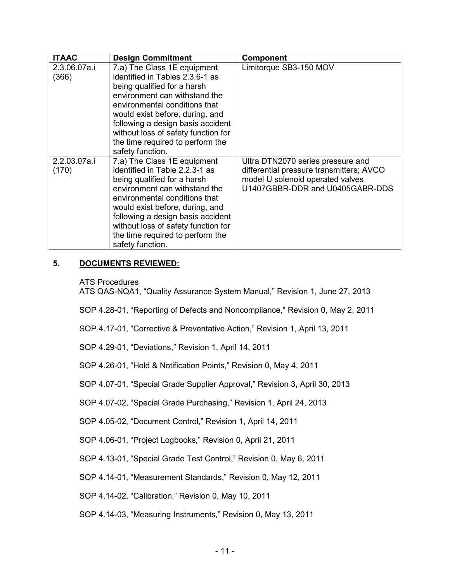| <b>ITAAC</b>          | <b>Design Commitment</b>                                                                                                                                                                                                                                                                                                               | <b>Component</b>                                                                                                                                     |
|-----------------------|----------------------------------------------------------------------------------------------------------------------------------------------------------------------------------------------------------------------------------------------------------------------------------------------------------------------------------------|------------------------------------------------------------------------------------------------------------------------------------------------------|
| 2.3.06.07a.i<br>(366) | 7.a) The Class 1E equipment<br>identified in Tables 2.3.6-1 as<br>being qualified for a harsh<br>environment can withstand the<br>environmental conditions that<br>would exist before, during, and<br>following a design basis accident<br>without loss of safety function for<br>the time required to perform the<br>safety function. | Limitorque SB3-150 MOV                                                                                                                               |
| 2.2.03.07a.i<br>(170) | 7.a) The Class 1E equipment<br>identified in Table 2.2.3-1 as<br>being qualified for a harsh<br>environment can withstand the<br>environmental conditions that<br>would exist before, during, and<br>following a design basis accident<br>without loss of safety function for<br>the time required to perform the<br>safety function.  | Ultra DTN2070 series pressure and<br>differential pressure transmitters; AVCO<br>model U solenoid operated valves<br>U1407GBBR-DDR and U0405GABR-DDS |

# **5. DOCUMENTS REVIEWED:**

## ATS Procedures

ATS QAS-NQA1, "Quality Assurance System Manual," Revision 1, June 27, 2013

SOP 4.28-01, "Reporting of Defects and Noncompliance," Revision 0, May 2, 2011

SOP 4.17-01, "Corrective & Preventative Action," Revision 1, April 13, 2011

SOP 4.29-01, "Deviations," Revision 1, April 14, 2011

SOP 4.26-01, "Hold & Notification Points," Revision 0, May 4, 2011

SOP 4.07-01, "Special Grade Supplier Approval," Revision 3, April 30, 2013

SOP 4.07-02, "Special Grade Purchasing," Revision 1, April 24, 2013

SOP 4.05-02, "Document Control," Revision 1, April 14, 2011

SOP 4.06-01, "Project Logbooks," Revision 0, April 21, 2011

SOP 4.13-01, "Special Grade Test Control," Revision 0, May 6, 2011

SOP 4.14-01, "Measurement Standards," Revision 0, May 12, 2011

SOP 4.14-02, "Calibration," Revision 0, May 10, 2011

SOP 4.14-03, "Measuring Instruments," Revision 0, May 13, 2011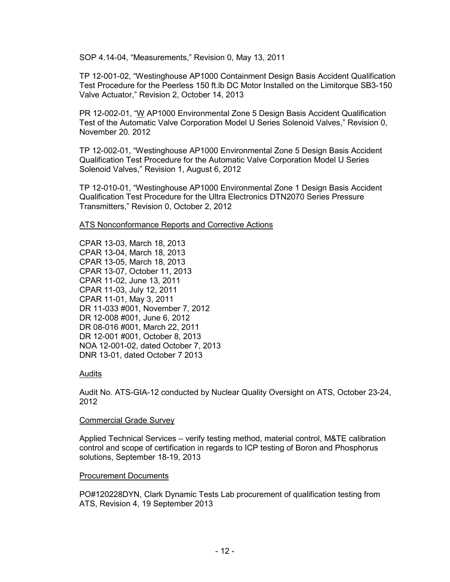SOP 4.14-04, "Measurements," Revision 0, May 13, 2011

TP 12-001-02, "Westinghouse AP1000 Containment Design Basis Accident Qualification Test Procedure for the Peerless 150 ft.lb DC Motor Installed on the Limitorque SB3-150 Valve Actuator," Revision 2, October 14, 2013

PR 12-002-01, "W AP1000 Environmental Zone 5 Design Basis Accident Qualification Test of the Automatic Valve Corporation Model U Series Solenoid Valves," Revision 0, November 20. 2012

TP 12-002-01, "Westinghouse AP1000 Environmental Zone 5 Design Basis Accident Qualification Test Procedure for the Automatic Valve Corporation Model U Series Solenoid Valves," Revision 1, August 6, 2012

TP 12-010-01, "Westinghouse AP1000 Environmental Zone 1 Design Basis Accident Qualification Test Procedure for the Ultra Electronics DTN2070 Series Pressure Transmitters," Revision 0, October 2, 2012

## ATS Nonconformance Reports and Corrective Actions

CPAR 13-03, March 18, 2013 CPAR 13-04, March 18, 2013 CPAR 13-05, March 18, 2013 CPAR 13-07, October 11, 2013 CPAR 11-02, June 13, 2011 CPAR 11-03, July 12, 2011 CPAR 11-01, May 3, 2011 DR 11-033 #001, November 7, 2012 DR 12-008 #001, June 6, 2012 DR 08-016 #001, March 22, 2011 DR 12-001 #001, October 8, 2013 NOA 12-001-02, dated October 7, 2013 DNR 13-01, dated October 7 2013

# Audits

Audit No. ATS-GIA-12 conducted by Nuclear Quality Oversight on ATS, October 23-24, 2012

# Commercial Grade Survey

Applied Technical Services – verify testing method, material control, M&TE calibration control and scope of certification in regards to ICP testing of Boron and Phosphorus solutions, September 18-19, 2013

# Procurement Documents

PO#120228DYN, Clark Dynamic Tests Lab procurement of qualification testing from ATS, Revision 4, 19 September 2013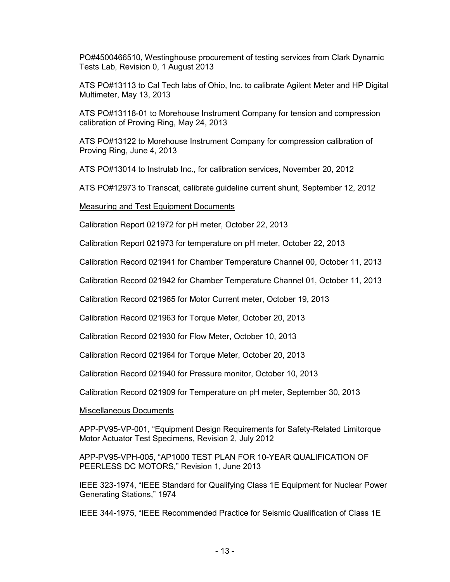PO#4500466510, Westinghouse procurement of testing services from Clark Dynamic Tests Lab, Revision 0, 1 August 2013

ATS PO#13113 to Cal Tech labs of Ohio, Inc. to calibrate Agilent Meter and HP Digital Multimeter, May 13, 2013

ATS PO#13118-01 to Morehouse Instrument Company for tension and compression calibration of Proving Ring, May 24, 2013

ATS PO#13122 to Morehouse Instrument Company for compression calibration of Proving Ring, June 4, 2013

ATS PO#13014 to Instrulab Inc., for calibration services, November 20, 2012

ATS PO#12973 to Transcat, calibrate guideline current shunt, September 12, 2012

Measuring and Test Equipment Documents

Calibration Report 021972 for pH meter, October 22, 2013

Calibration Report 021973 for temperature on pH meter, October 22, 2013

Calibration Record 021941 for Chamber Temperature Channel 00, October 11, 2013

Calibration Record 021942 for Chamber Temperature Channel 01, October 11, 2013

Calibration Record 021965 for Motor Current meter, October 19, 2013

Calibration Record 021963 for Torque Meter, October 20, 2013

Calibration Record 021930 for Flow Meter, October 10, 2013

Calibration Record 021964 for Torque Meter, October 20, 2013

Calibration Record 021940 for Pressure monitor, October 10, 2013

Calibration Record 021909 for Temperature on pH meter, September 30, 2013

#### Miscellaneous Documents

APP-PV95-VP-001, "Equipment Design Requirements for Safety-Related Limitorque Motor Actuator Test Specimens, Revision 2, July 2012

APP-PV95-VPH-005, "AP1000 TEST PLAN FOR 10-YEAR QUALIFICATION OF PEERLESS DC MOTORS," Revision 1, June 2013

IEEE 323-1974, "IEEE Standard for Qualifying Class 1E Equipment for Nuclear Power Generating Stations," 1974

IEEE 344-1975, "IEEE Recommended Practice for Seismic Qualification of Class 1E